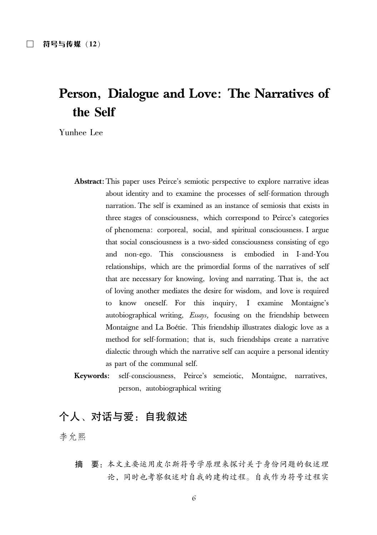# Person, Dialogue and Love: The Narratives of the Self

Yunhee Lee

- Abstract: This paper uses Peirce's semiotic perspective to explore narrative ideas about identity and to examine the processes of self-formation through narration. The self is examined as an instance of semiosis that exists in three stages of consciousness, which correspond to Peirce's categories of phenomena: corporeal, social, and spiritual consciousness. I argue that social consciousness is a two-sided consciousness consisting of ego and non-ego. This consciousness is embodied in I-and-You relationships, which are the primordial forms of the narratives of self that are necessary for knowing, loving and narrating. That is, the act of loving another mediates the desire for wisdom, and love is required know oneself. For this inquiry, I examine Montaigne's to autobiographical writing, *Essays*, focusing on the friendship between Montaigne and La Boétie. This friendship illustrates dialogic love as a method for self-formation; that is, such friendships create a narrative dialectic through which the narrative self can acquire a personal identity as part of the communal self.
- Keywords: self-consciousness, Peirce's semeiotic, Montaigne, narratives, person, autobiographical writing

# 个人、对话与爱: 自我叙述

李允熙

要: 本文主要运用皮尔斯符号学原理来探讨关于身份问题的叙述理 摘 论、同时也考察叙述对自我的建构过程。自我作为符号过程实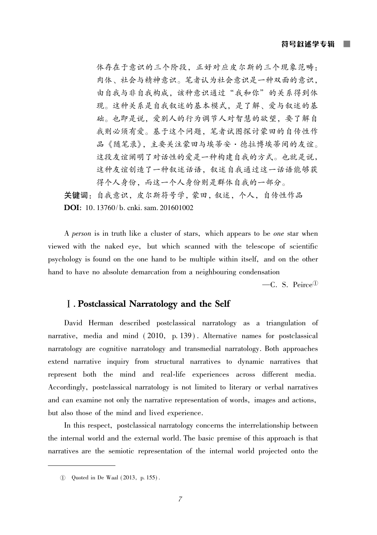体存在于意识的三个阶段,正好对应皮尔斯的三个现象范畴: 肉体、社会与精神意识。笔者认为社会意识是一种双面的意识, 由自我与非自我构成, 该种意识通过"我和你"的关系得到体 现。这种关系是自我叙述的基本模式,是了解、爱与叙述的基 础。也即是说,爱别人的行为调节人对智慧的欲望,要了解自 我则必须有爱。基于这个问题,笔者试图探讨蒙田的自传性作 品《随笔录》, 主要关注蒙田与埃蒂安 · 德拉博埃蒂间的友谊。 这段友谊阐明了对话性的爱是一种构建自我的方式。也就是说, 这种友谊创造了一种叙述话语。叙述自我通过这一话语能够获 得个人身份,而这一个人身份则是群体自我的一部分。

关键词: 自我意识, 皮尔斯符号学, 蒙田, 叙述, 个人, 自传性作品 **DOI**: 10, 13760/b, cnki, sam, 201601002

A person is in truth like a cluster of stars, which appears to be one star when viewed with the naked eye, but which scanned with the telescope of scientific psychology is found on the one hand to be multiple within itself, and on the other hand to have no absolute demarcation from a neighbouring condensation

 $-C. S. Peirce<sup>①</sup>$ 

# **I.** Postclassical Narratology and the Self

David Herman described postclassical narratology as a triangulation of narrative, media and mind (2010, p. 139). Alternative names for postclassical narratology are cognitive narratology and transmedial narratology. Both approaches extend narrative inquiry from structural narratives to dynamic narratives that represent both the mind and real-life experiences across different media. Accordingly, postclassical narratology is not limited to literary or verbal narratives and can examine not only the narrative representation of words, images and actions, but also those of the mind and lived experience.

In this respect, postclassical narratology concerns the interrelationship between the internal world and the external world. The basic premise of this approach is that narratives are the semiotic representation of the internal world projected onto the

<sup>1</sup> Ouoted in De Waal (2013, p. 155).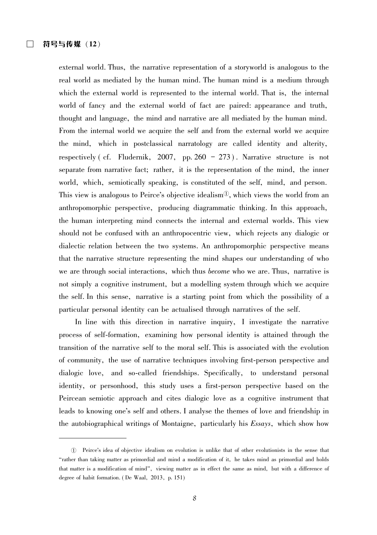external world. Thus, the narrative representation of a storyworld is analogous to the real world as mediated by the human mind. The human mind is a medium through which the external world is represented to the internal world. That is, the internal world of fancy and the external world of fact are paired: appearance and truth, thought and language, the mind and narrative are all mediated by the human mind. From the internal world we acquire the self and from the external world we acquire the mind, which in postclassical narratology are called identity and alterity, respectively (cf. Fludernik, 2007, pp. 260 - 273). Narrative structure is not separate from narrative fact; rather, it is the representation of the mind, the inner world, which, semiotically speaking, is constituted of the self, mind, and person. This view is analogous to Peirce's objective idealism<sup> $\mathbb{D}$ </sup>, which views the world from an anthropomorphic perspective, producing diagrammatic thinking. In this approach, the human interpreting mind connects the internal and external worlds. This view should not be confused with an anthropocentric view, which rejects any dialogic or dialectic relation between the two systems. An anthropomorphic perspective means that the narrative structure representing the mind shapes our understanding of who we are through social interactions, which thus become who we are. Thus, narrative is not simply a cognitive instrument, but a modelling system through which we acquire the self. In this sense, narrative is a starting point from which the possibility of a particular personal identity can be actualised through narratives of the self.

In line with this direction in narrative inquiry. I investigate the narrative process of self-formation, examining how personal identity is attained through the transition of the narrative self to the moral self. This is associated with the evolution of community, the use of narrative techniques involving first-person perspective and dialogic love, and so-called friendships. Specifically, to understand personal identity, or personhood, this study uses a first-person perspective based on the Peircean semiotic approach and cites dialogic love as a cognitive instrument that leads to knowing one's self and others. I analyse the themes of love and friendship in the autobiographical writings of Montaigne, particularly his *Essays*, which show how

<sup>1)</sup> Peirce's idea of objective idealism on evolution is unlike that of other evolutionists in the sense that "rather than taking matter as primordial and mind a modification of it, he takes mind as primordial and holds that matter is a modification of mind", viewing matter as in effect the same as mind, but with a difference of degree of habit formation. (De Waal, 2013, p. 151)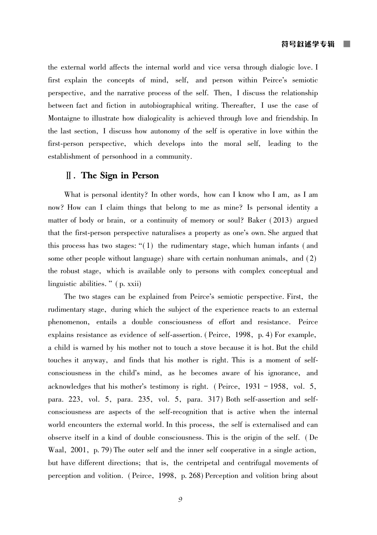the external world affects the internal world and vice versa through dialogic love. I first explain the concepts of mind, self, and person within Peirce's semiotic perspective, and the narrative process of the self. Then, I discuss the relationship between fact and fiction in autobiographical writing. Thereafter, I use the case of Montaigne to illustrate how dialogicality is achieved through love and friendship. In the last section, I discuss how autonomy of the self is operative in love within the first-person perspective, which develops into the moral self, leading to the establishment of personhood in a community.

# $\mathbb{I}$ . The Sign in Person

What is personal identity? In other words, how can I know who I am, as I am now? How can I claim things that belong to me as mine? Is personal identity a matter of body or brain, or a continuity of memory or soul? Baker (2013) argued that the first-person perspective naturalises a property as one's own. She argued that this process has two stages: " $(1)$  the rudimentary stage, which human infants (and some other people without language) share with certain nonhuman animals, and (2) the robust stage, which is available only to persons with complex conceptual and linguistic abilities." (p. xxii)

The two stages can be explained from Peirce's semiotic perspective. First, the rudimentary stage, during which the subject of the experience reacts to an external phenomenon, entails a double consciousness of effort and resistance. Peirce explains resistance as evidence of self-assertion. (Peirce, 1998, p. 4) For example, a child is warned by his mother not to touch a stove because it is hot. But the child touches it anyway, and finds that his mother is right. This is a moment of selfconsciousness in the child's mind, as he becomes aware of his ignorance, and acknowledges that his mother's testimony is right. (Peirce, 1931 - 1958, vol. 5, para. 223, vol. 5, para. 235, vol. 5, para. 317) Both self-assertion and selfconsciousness are aspects of the self-recognition that is active when the internal world encounters the external world. In this process, the self is externalised and can observe itself in a kind of double consciousness. This is the origin of the self. (De Waal, 2001, p. 79) The outer self and the inner self cooperative in a single action, but have different directions; that is, the centripetal and centrifugal movements of perception and volition. (Peirce, 1998, p. 268) Perception and volition bring about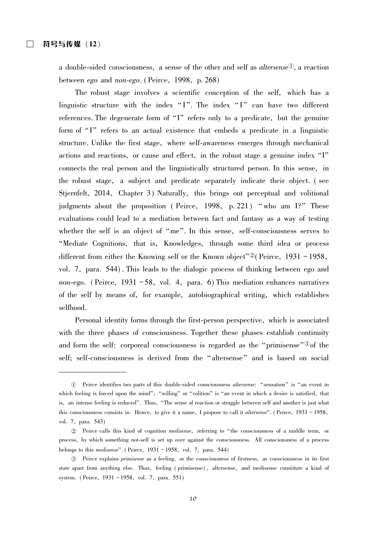a double-sided consciousness, a sense of the other and self as *altersense*<sup> $\mathbb{O}$ </sup>, a reaction between *ego* and *non-ego*. (Peirce, 1998, p. 268)

The robust stage involves a scientific conception of the self, which has a linguistic structure with the index "I". The index "I" can have two different references. The degenerate form of "I" refers only to a predicate, but the genuine form of "I" refers to an actual existence that embeds a predicate in a linguistic structure. Unlike the first stage, where self-awareness emerges through mechanical actions and reactions, or cause and effect, in the robust stage a genuine index "I" connects the real person and the linguistically structured person. In this sense, in the robust stage, a subject and predicate separately indicate their object. (see Stjernfelt, 2014, Chapter 3) Naturally, this brings out perceptual and volitional judgments about the proposition (Peirce, 1998, p. 221) "who am I?" These evaluations could lead to a mediation between fact and fantasy as a way of testing whether the self is an object of "me". In this sense, self-consciousness serves to "Mediate Cognitions, that is, Knowledges, through some third idea or process different from either the Knowing self or the Known object"<sup>2</sup> (Peirce, 1931 – 1958, vol. 7, para. 544). This leads to the dialogic process of thinking between ego and non-ego. (Peirce,  $1931 - 58$ , vol. 4, para. 6) This mediation enhances narratives of the self by means of, for example, autobiographical writing, which establishes selfhood.

Personal identity forms through the first-person perspective, which is associated with the three phases of consciousness. Together these phases establish continuity and form the self: corporeal consciousness is regarded as the "primisense"<sup>3</sup> of the self; self-consciousness is derived from the "altersense" and is based on social

<sup>1)</sup> Peirce identifies two parts of this double-sided consciousness *altersense*: "sensation" is "an event in which feeling is forced upon the mind": "willing" or "volition" is "an event in which a desire is satisfied, that is, an intense feeling is reduced". Thus, "The sense of reaction or struggle between self and another is just what this consciousness consists in. Hence, to give it a name, I propose to call it *altersense*". (Peirce,  $1931 - 1958$ , vol. 7, para. 543)

<sup>2</sup> Peirce calls this kind of cognition *medisense*, referring to "the consciousness of a middle term, or process, by which something not-self is set up over against the consciousness. All consciousness of a process belongs to this medisense". (Peirce,  $1931 - 1958$ , vol. 7, para. 544)

<sup>3</sup> Peirce explains *primisense* as a feeling, or the consciousness of firstness, as consciousness in its first state apart from anything else. Thus, feeling (primisense), altersense, and medisense constitute a kind of system. (Peirce, 1931 - 1958, vol. 7, para. 551)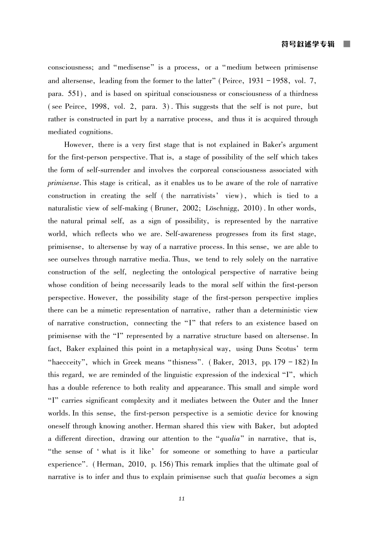consciousness; and "medisense" is a process, or a "medium between primisense and altersense, leading from the former to the latter" (Peirce,  $1931 - 1958$ , vol. 7, para. 551), and is based on spiritual consciousness or consciousness of a thirdness (see Peirce, 1998, vol. 2, para. 3). This suggests that the self is not pure, but rather is constructed in part by a narrative process, and thus it is acquired through mediated cognitions.

However, there is a very first stage that is not explained in Baker's argument for the first-person perspective. That is, a stage of possibility of the self which takes the form of self-surrender and involves the corporeal consciousness associated with *primisense*. This stage is critical, as it enables us to be aware of the role of narrative construction in creating the self (the narrativists' view), which is tied to a naturalistic view of self-making (Bruner, 2002; Löschnigg, 2010). In other words, the natural primal self, as a sign of possibility, is represented by the narrative world, which reflects who we are. Self-awareness progresses from its first stage, primisense, to altersense by way of a narrative process. In this sense, we are able to see ourselves through narrative media. Thus, we tend to rely solely on the narrative construction of the self, neglecting the ontological perspective of narrative being whose condition of being necessarily leads to the moral self within the first-person perspective. However, the possibility stage of the first-person perspective implies there can be a mimetic representation of narrative, rather than a deterministic view of narrative construction, connecting the "I" that refers to an existence based on primisense with the "I" represented by a narrative structure based on altersense. In fact, Baker explained this point in a metaphysical way, using Duns Scotus' term "haecceity", which in Greek means "thisness". (Baker, 2013, pp.  $179 - 182$ ) In this regard, we are reminded of the linguistic expression of the indexical "I", which has a double reference to both reality and appearance. This small and simple word "I" carries significant complexity and it mediates between the Outer and the Inner worlds. In this sense, the first-person perspective is a semiotic device for knowing oneself through knowing another. Herman shared this view with Baker, but adopted a different direction, drawing our attention to the "qualia" in narrative, that is, "the sense of 'what is it like' for someone or something to have a particular experience". (Herman, 2010, p. 156) This remark implies that the ultimate goal of narrative is to infer and thus to explain primisense such that *qualia* becomes a sign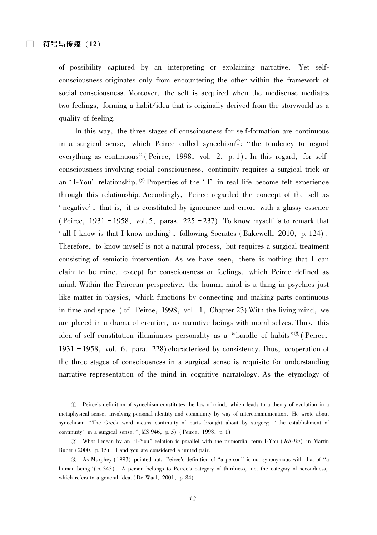of possibility captured by an interpreting or explaining narrative. Yet selfconsciousness originates only from encountering the other within the framework of social consciousness. Moreover, the self is acquired when the medisense mediates two feelings, forming a habit/idea that is originally derived from the storyworld as a quality of feeling.

In this way, the three stages of consciousness for self-formation are continuous in a surgical sense, which Peirce called synechism<sup> $\mathbb{D}$ </sup>: "the tendency to regard everything as continuous" (Peirce, 1998, vol. 2. p. 1). In this regard, for selfconsciousness involving social consciousness, continuity requires a surgical trick or an 'I-You' relationship. 2 Properties of the 'I' in real life become felt experience through this relationship. Accordingly, Peirce regarded the concept of the self as ' negative'; that is, it is constituted by ignorance and error, with a glassy essence (Peirce, 1931 – 1958, vol. 5, paras.  $225 - 237$ ). To know myself is to remark that ' all I know is that I know nothing', following Socrates (Bakewell, 2010, p. 124). Therefore, to know myself is not a natural process, but requires a surgical treatment consisting of semiotic intervention. As we have seen, there is nothing that I can claim to be mine, except for consciousness or feelings, which Peirce defined as mind. Within the Peircean perspective, the human mind is a thing in psychics just like matter in physics, which functions by connecting and making parts continuous in time and space. (cf. Peirce, 1998, vol. 1, Chapter 23) With the living mind, we are placed in a drama of creation, as narrative beings with moral selves. Thus, this idea of self-constitution illuminates personality as a "bundle of habits"<sup>3</sup> (Peirce, 1931 - 1958, vol. 6, para. 228) characterised by consistency. Thus, cooperation of the three stages of consciousness in a surgical sense is requisite for understanding narrative representation of the mind in cognitive narratology. As the etymology of

<sup>1)</sup> Peirce's definition of synechism constitutes the law of mind, which leads to a theory of evolution in a metaphysical sense, involving personal identity and community by way of intercommunication. He wrote about synechism: "The Greek word means continuity of parts brought about by surgery; 'the establishment of continuity' in a surgical sense. "(MS 946, p. 5) (Peirce, 1998, p. 1)

<sup>2</sup> What I mean by an "I-You" relation is parallel with the primordial term I-You (Ich-Du) in Martin Buber (2000, p. 15); I and you are considered a united pair.

<sup>3</sup> As Murphey (1993) pointed out, Peirce's definition of "a person" is not synonymous with that of "a human being" (p. 343). A person belongs to Peirce's category of thirdness, not the category of secondness, which refers to a general idea. (De Waal, 2001, p. 84)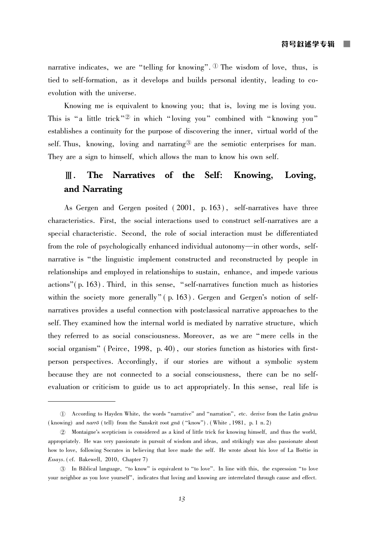narrative indicates, we are "telling for knowing".  $\mathbb{D}$  The wisdom of love, thus, is tied to self-formation, as it develops and builds personal identity, leading to coevolution with the universe.

Knowing me is equivalent to knowing you; that is, loving me is loving you. This is "a little trick"<sup>2</sup> in which "loving you" combined with "knowing you" establishes a continuity for the purpose of discovering the inner, virtual world of the self. Thus, knowing, loving and narrating  $\mathscr{B}$  are the semiotic enterprises for man. They are a sign to himself, which allows the man to know his own self.

#### Ⅲ. The Narratives of the Self: Knowing, Loving, and Narrating

As Gergen and Gergen posited (2001, p. 163), self-narratives have three characteristics. First, the social interactions used to construct self-narratives are a special characteristic. Second, the role of social interaction must be differentiated from the role of psychologically enhanced individual autonomy—in other words, selfnarrative is "the linguistic implement constructed and reconstructed by people in relationships and employed in relationships to sustain, enhance, and impede various actions" (p. 163). Third, in this sense, "self-narratives function much as histories within the society more generally" (p. 163). Gergen and Gergen's notion of selfnarratives provides a useful connection with postclassical narrative approaches to the self. They examined how the internal world is mediated by narrative structure, which they referred to as social consciousness. Moreover, as we are "mere cells in the social organism" (Peirce, 1998, p. 40), our stories function as histories with firstperson perspectives. Accordingly, if our stories are without a symbolic system because they are not connected to a social consciousness, there can be no selfevaluation or criticism to guide us to act appropriately. In this sense, real life is

<sup>1</sup> According to Hayden White, the words "narrative" and "narration", etc. derive from the Latin gnatus (knowing) and narro (tell) from the Sanskrit root gna ("know"). (White, 1981, p. 1 n. 2)

<sup>2</sup> Montaigne's scepticism is considered as a kind of little trick for knowing himself, and thus the world, appropriately. He was very passionate in pursuit of wisdom and ideas, and strikingly was also passionate about how to love, following Socrates in believing that love made the self. He wrote about his love of La Boétie in Essays. (cf. Bakewell, 2010, Chapter 7)

<sup>3</sup> In Biblical language, "to know" is equivalent to "to love". In line with this, the expression "to love your neighbor as you love yourself", indicates that loving and knowing are interrelated through cause and effect.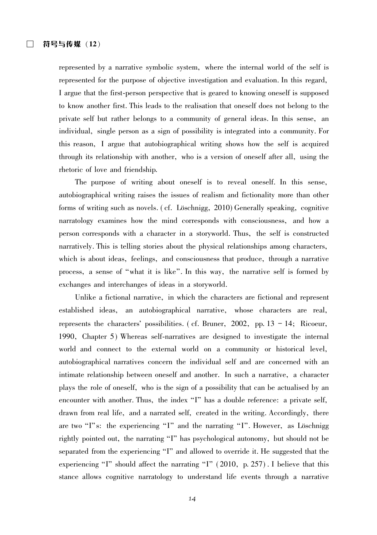represented by a narrative symbolic system, where the internal world of the self is represented for the purpose of objective investigation and evaluation. In this regard, I argue that the first-person perspective that is geared to knowing oneself is supposed to know another first. This leads to the realisation that oneself does not belong to the private self but rather belongs to a community of general ideas. In this sense, an individual, single person as a sign of possibility is integrated into a community. For this reason, I argue that autobiographical writing shows how the self is acquired through its relationship with another, who is a version of oneself after all, using the rhetoric of love and friendship.

The purpose of writing about oneself is to reveal oneself. In this sense, autobiographical writing raises the issues of realism and fictionality more than other forms of writing such as novels. (cf. Löschnigg, 2010) Generally speaking, cognitive narratology examines how the mind corresponds with consciousness, and how a person corresponds with a character in a storyworld. Thus, the self is constructed narratively. This is telling stories about the physical relationships among characters, which is about ideas, feelings, and consciousness that produce, through a narrative process, a sense of "what it is like". In this way, the narrative self is formed by exchanges and interchanges of ideas in a storyworld.

Unlike a fictional narrative, in which the characters are fictional and represent established ideas, an autobiographical narrative, whose characters are real, represents the characters' possibilities. (cf. Bruner, 2002, pp.  $13 - 14$ ; Ricoeur, 1990, Chapter 5) Whereas self-narratives are designed to investigate the internal world and connect to the external world on a community or historical level, autobiographical narratives concern the individual self and are concerned with an intimate relationship between oneself and another. In such a narrative, a character plays the role of oneself, who is the sign of a possibility that can be actualised by an encounter with another. Thus, the index "I" has a double reference: a private self, drawn from real life, and a narrated self, created in the writing. Accordingly, there are two "I"s: the experiencing "I" and the narrating "I". However, as Löschnigg rightly pointed out, the narrating "I" has psychological autonomy, but should not be separated from the experiencing "I" and allowed to override it. He suggested that the experiencing "I" should affect the narrating "I"  $(2010, p. 257)$ . I believe that this stance allows cognitive narratology to understand life events through a narrative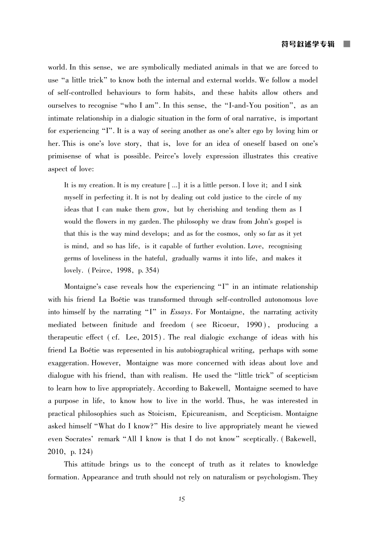world. In this sense, we are symbolically mediated animals in that we are forced to use "a little trick" to know both the internal and external worlds. We follow a model of self-controlled behaviours to form habits, and these habits allow others and ourselves to recognise "who I am". In this sense, the "I-and-You position", as an intimate relationship in a dialogic situation in the form of oral narrative, is important for experiencing "I". It is a way of seeing another as one's alter ego by loving him or her. This is one's love story, that is, love for an idea of oneself based on one's primisense of what is possible. Peirce's lovely expression illustrates this creative aspect of love:

It is my creation. It is my creature [...] it is a little person. I love it; and I sink myself in perfecting it. It is not by dealing out cold justice to the circle of my ideas that I can make them grow, but by cherishing and tending them as I would the flowers in my garden. The philosophy we draw from John's gospel is that this is the way mind develops; and as for the cosmos, only so far as it yet is mind, and so has life, is it capable of further evolution. Love, recognising germs of loveliness in the hateful, gradually warms it into life, and makes it lovely. (Peirce, 1998, p. 354)

Montaigne's case reveals how the experiencing "I" in an intimate relationship with his friend La Boétie was transformed through self-controlled autonomous love into himself by the narrating "I" in Essays. For Montaigne, the narrating activity mediated between finitude and freedom (see Ricoeur, 1990), producing a therapeutic effect (cf. Lee, 2015). The real dialogic exchange of ideas with his friend La Boétie was represented in his autobiographical writing, perhaps with some exaggeration. However, Montaigne was more concerned with ideas about love and dialogue with his friend, than with realism. He used the "little trick" of scepticism to learn how to live appropriately. According to Bakewell, Montaigne seemed to have a purpose in life, to know how to live in the world. Thus, he was interested in practical philosophies such as Stoicism, Epicureanism, and Scepticism. Montaigne asked himself "What do I know?" His desire to live appropriately meant he viewed even Socrates' remark "All I know is that I do not know" sceptically. (Bakewell, 2010, p. 124)

This attitude brings us to the concept of truth as it relates to knowledge formation. Appearance and truth should not rely on naturalism or psychologism. They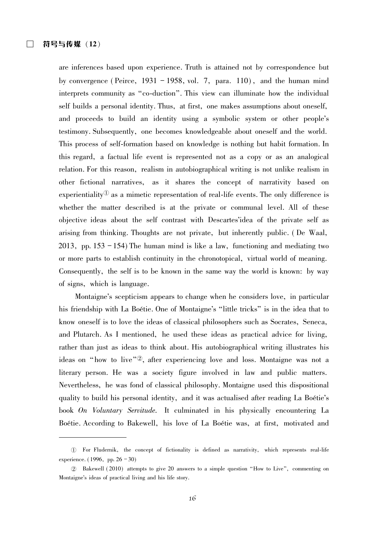are inferences based upon experience. Truth is attained not by correspondence but by convergence (Peirce,  $1931 - 1958$ , vol. 7, para. 110), and the human mind interprets community as "co-duction". This view can illuminate how the individual self builds a personal identity. Thus, at first, one makes assumptions about oneself, and proceeds to build an identity using a symbolic system or other people's testimony. Subsequently, one becomes knowledgeable about oneself and the world. This process of self-formation based on knowledge is nothing but habit formation. In this regard, a factual life event is represented not as a copy or as an analogical relation. For this reason, realism in autobiographical writing is not unlike realism in other fictional narratives, as it shares the concept of narrativity based on experientiality<sup> $\mathbb{U}$ </sup> as a mimetic representation of real-life events. The only difference is whether the matter described is at the private or communal level. All of these objective ideas about the self contrast with Descartes'idea of the private self as arising from thinking. Thoughts are not private, but inherently public. (De Waal, 2013, pp.  $153 - 154$ ) The human mind is like a law, functioning and mediating two or more parts to establish continuity in the chronotopical, virtual world of meaning. Consequently, the self is to be known in the same way the world is known: by way of signs, which is language.

Montaigne's scepticism appears to change when he considers love, in particular his friendship with La Boétie. One of Montaigne's "little tricks" is in the idea that to know oneself is to love the ideas of classical philosophers such as Socrates, Seneca, and Plutarch. As I mentioned, he used these ideas as practical advice for living, rather than just as ideas to think about. His autobiographical writing illustrates his ideas on "how to live"<sup>2</sup>, after experiencing love and loss. Montaigne was not a literary person. He was a society figure involved in law and public matters. Nevertheless, he was fond of classical philosophy. Montaigne used this dispositional quality to build his personal identity, and it was actualised after reading La Boétie's book On Voluntary Servitude. It culminated in his physically encountering La Boétie. According to Bakewell, his love of La Boétie was, at first, motivated and

<sup>1)</sup> For Fludernik, the concept of fictionality is defined as narrativity, which represents real-life experience.  $(1996, pp. 26 - 30)$ 

<sup>2</sup> Bakewell (2010) attempts to give 20 answers to a simple question "How to Live", commenting on Montaigne's ideas of practical living and his life story.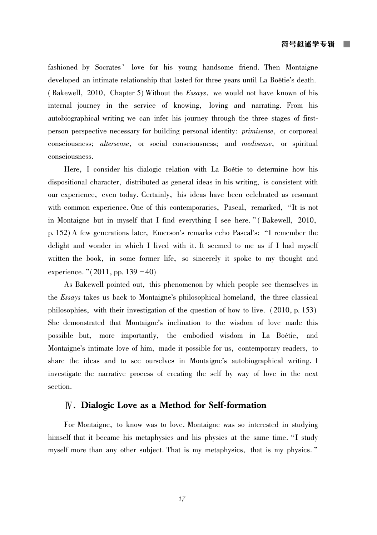fashioned by Socrates' love for his young handsome friend. Then Montaigne developed an intimate relationship that lasted for three years until La Boétie's death. (Bakewell, 2010, Chapter 5) Without the *Essays*, we would not have known of his internal journey in the service of knowing, loving and narrating. From his autobiographical writing we can infer his journey through the three stages of firstperson perspective necessary for building personal identity: *primisense*, or corporeal consciousness; *altersense*, or social consciousness; and *medisense*, or spiritual consciousness.

Here, I consider his dialogic relation with La Boétie to determine how his dispositional character, distributed as general ideas in his writing, is consistent with our experience, even today. Certainly, his ideas have been celebrated as resonant with common experience. One of this contemporaries, Pascal, remarked, "It is not in Montaigne but in myself that I find everything I see here." (Bakewell, 2010, p. 152) A few generations later, Emerson's remarks echo Pascal's: "I remember the delight and wonder in which I lived with it. It seemed to me as if I had myself written the book, in some former life, so sincerely it spoke to my thought and experience. " $(2011, pp. 139 - 40)$ 

As Bakewell pointed out, this phenomenon by which people see themselves in the Essays takes us back to Montaigne's philosophical homeland, the three classical philosophies, with their investigation of the question of how to live. (2010, p. 153) She demonstrated that Montaigne's inclination to the wisdom of love made this possible but, more importantly, the embodied wisdom in La Boétie, and Montaigne's intimate love of him, made it possible for us, contemporary readers, to share the ideas and to see ourselves in Montaigne's autobiographical writing. I investigate the narrative process of creating the self by way of love in the next section.

# IV. Dialogic Love as a Method for Self-formation

For Montaigne, to know was to love. Montaigne was so interested in studying himself that it became his metaphysics and his physics at the same time. "I study myself more than any other subject. That is my metaphysics, that is my physics."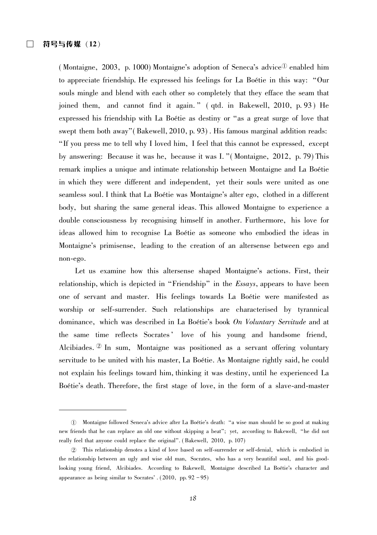(Montaigne, 2003, p. 1000) Montaigne's adoption of Seneca's advice  $\Phi$  enabled him to appreciate friendship. He expressed his feelings for La Boétie in this way: "Our souls mingle and blend with each other so completely that they efface the seam that joined them, and cannot find it again."  $($ qtd. in Bakewell, 2010, p. 93 $)$  He expressed his friendship with La Boétie as destiny or "as a great surge of love that swept them both away" (Bakewell, 2010, p. 93). His famous marginal addition reads: "If you press me to tell why I loved him, I feel that this cannot be expressed, except by answering: Because it was he, because it was I. "(Montaigne, 2012, p. 79) This remark implies a unique and intimate relationship between Montaigne and La Boétie in which they were different and independent, yet their souls were united as one seamless soul. I think that La Boétie was Montaigne's alter ego, clothed in a different body, but sharing the same general ideas. This allowed Montaigne to experience a double consciousness by recognising himself in another. Furthermore, his love for ideas allowed him to recognise La Boétie as someone who embodied the ideas in Montaigne's primisense, leading to the creation of an altersense between ego and non-ego.

Let us examine how this altersense shaped Montaigne's actions. First, their relationship, which is depicted in "Friendship" in the  $Essays$ , appears to have been one of servant and master. His feelings towards La Boétie were manifested as worship or self-surrender. Such relationships are characterised by tyrannical dominance, which was described in La Boétie's book On Voluntary Servitude and at the same time reflects Socrates' love of his young and handsome friend, Alcibiades. <sup>2</sup> In sum, Montaigne was positioned as a servant offering voluntary servitude to be united with his master, La Boétie. As Montaigne rightly said, he could not explain his feelings toward him, thinking it was destiny, until he experienced La Boetie's death. Therefore, the first stage of love, in the form of a slave-and-master

① Montaigne followed Seneca's advice after La Boétie's death: "a wise man should be so good at making new friends that he can replace an old one without skipping a beat"; yet, according to Bakewell, "he did not really feel that anyone could replace the original". (Bakewell, 2010, p. 107)

 $\textcircled{2}$  This relationship denotes a kind of love based on self-surrender or self-denial, which is embodied in the relationship between an ugly and wise old man, Socrates, who has a very beautiful soul, and his goodlooking young friend, Alcibiades. According to Bakewell, Montaigne described La Boétie's character and appearance as being similar to Socrates'  $(2010, pp.92-95)$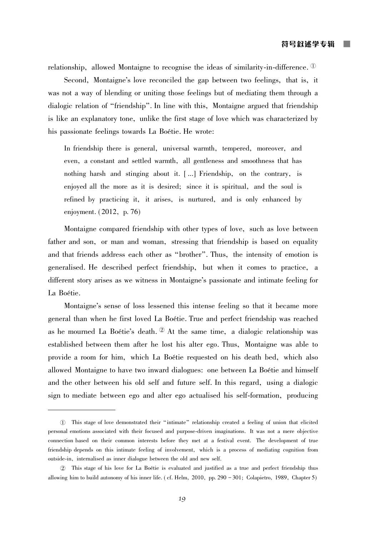relationship, allowed Montaigne to recognise the ideas of similarity-in-difference.  $\mathbb{D}$ 

Second, Montaigne's love reconciled the gap between two feelings, that is, it was not a way of blending or uniting those feelings but of mediating them through a dialogic relation of "friendship". In line with this, Montaigne argued that friendship is like an explanatory tone, unlike the first stage of love which was characterized by his passionate feelings towards La Boétie. He wrote:

In friendship there is general, universal warmth, tempered, moreover, and even, a constant and settled warmth, all gentleness and smoothness that has nothing harsh and stinging about it. [...] Friendship, on the contrary, is enjoyed all the more as it is desired; since it is spiritual, and the soul is refined by practicing it, it arises, is nurtured, and is only enhanced by enjoyment. (2012, p. 76)

Montaigne compared friendship with other types of love, such as love between father and son, or man and woman, stressing that friendship is based on equality and that friends address each other as "brother". Thus, the intensity of emotion is generalised. He described perfect friendship, but when it comes to practice, a different story arises as we witness in Montaigne's passionate and intimate feeling for La Boétie.

Montaigne's sense of loss lessened this intense feeling so that it became more general than when he first loved La Boétie. True and perfect friendship was reached as he mourned La Boétie's death.  $\mathcal{D}$  At the same time, a dialogic relationship was established between them after he lost his alter ego. Thus, Montaigne was able to provide a room for him, which La Boétie requested on his death bed, which also allowed Montaigne to have two inward dialogues: one between La Boétie and himself and the other between his old self and future self. In this regard, using a dialogic sign to mediate between ego and alter ego actualised his self-formation, producing

<sup>1)</sup> This stage of love demonstrated their "intimate" relationship created a feeling of union that elicited personal emotions associated with their focused and purpose-driven imaginations. It was not a mere objective connection based on their common interests before they met at a festival event. The development of true friendship depends on this intimate feeling of involvement, which is a process of mediating cognition from outside-in, internalised as inner dialogue between the old and new self.

<sup>2</sup> This stage of his love for La Boétie is evaluated and justified as a true and perfect friendship thus allowing him to build autonomy of his inner life. (cf. Helm, 2010, pp. 290 - 301; Colapietro, 1989, Chapter 5)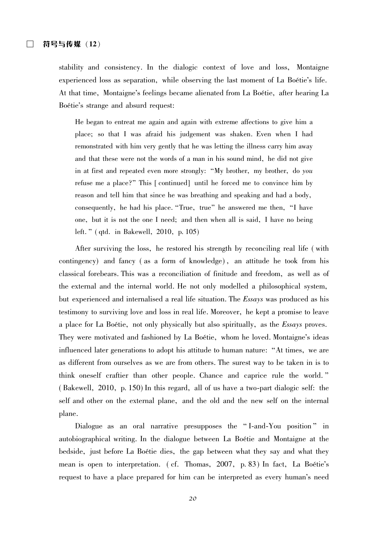stability and consistency. In the dialogic context of love and loss, Montaigne experienced loss as separation, while observing the last moment of La Boétie's life. At that time, Montaigne's feelings became alienated from La Boétie, after hearing La Boétie's strange and absurd request:

He began to entreat me again and again with extreme affections to give him a place; so that I was afraid his judgement was shaken. Even when I had remonstrated with him very gently that he was letting the illness carry him away and that these were not the words of a man in his sound mind, he did not give in at first and repeated even more strongly: "My brother, my brother, do you refuse me a place?" This [continued] until he forced me to convince him by reason and tell him that since he was breathing and speaking and had a body, consequently, he had his place. "True, true" he answered me then, "I have one, but it is not the one I need; and then when all is said, I have no being left." (qtd. in Bakewell, 2010, p. 105)

After surviving the loss, he restored his strength by reconciling real life (with contingency) and fancy (as a form of knowledge), an attitude he took from his classical forebears. This was a reconciliation of finitude and freedom, as well as of the external and the internal world. He not only modelled a philosophical system, but experienced and internalised a real life situation. The *Essays* was produced as his testimony to surviving love and loss in real life. Moreover, he kept a promise to leave a place for La Boétie, not only physically but also spiritually, as the *Essays* proves. They were motivated and fashioned by La Boétie, whom he loved. Montaigne's ideas influenced later generations to adopt his attitude to human nature: "At times, we are as different from ourselves as we are from others. The surest way to be taken in is to think oneself craftier than other people. Chance and caprice rule the world." (Bakewell, 2010, p. 150) In this regard, all of us have a two-part dialogic self: the self and other on the external plane, and the old and the new self on the internal plane.

Dialogue as an oral narrative presupposes the "I-and-You position" in autobiographical writing. In the dialogue between La Boétie and Montaigne at the bedside, just before La Boétie dies, the gap between what they say and what they mean is open to interpretation. (cf. Thomas, 2007, p. 83) In fact. La Boétie's request to have a place prepared for him can be interpreted as every human's need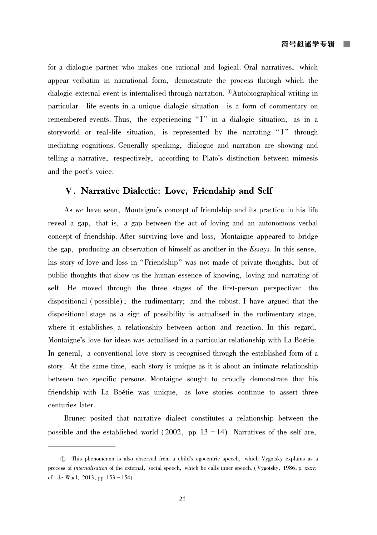for a dialogue partner who makes one rational and logical. Oral narratives, which appear verbatim in narrational form, demonstrate the process through which the dialogic external event is internalised through narration.  $\Omega$ Autobiographical writing in particular—life events in a unique dialogic situation—is a form of commentary on remembered events. Thus, the experiencing "I" in a dialogic situation, as in a storyworld or real-life situation, is represented by the narrating "I" through mediating cognitions. Generally speaking, dialogue and narration are showing and telling a narrative, respectively, according to Plato's distinction between mimesis and the poet's voice.

# V. Narrative Dialectic: Love, Friendship and Self

As we have seen, Montaigne's concept of friendship and its practice in his life reveal a gap, that is, a gap between the act of loving and an autonomous verbal concept of friendship. After surviving love and loss, Montaigne appeared to bridge the gap, producing an observation of himself as another in the Essays. In this sense, his story of love and loss in "Friendship" was not made of private thoughts, but of public thoughts that show us the human essence of knowing, loving and narrating of self. He moved through the three stages of the first-person perspective: the dispositional (possible); the rudimentary; and the robust. I have argued that the dispositional stage as a sign of possibility is actualised in the rudimentary stage, where it establishes a relationship between action and reaction. In this regard, Montaigne's love for ideas was actualised in a particular relationship with La Boétie. In general, a conventional love story is recognised through the established form of a story. At the same time, each story is unique as it is about an intimate relationship between two specific persons. Montaigne sought to proudly demonstrate that his friendship with La Boétie was unique, as love stories continue to assert three centuries later.

Bruner posited that narrative dialect constitutes a relationship between the possible and the established world  $(2002, pp. 13 - 14)$ . Narratives of the self are,

<sup>1)</sup> This phenomenon is also observed from a child's egocentric speech, which Vygotsky explains as a process of internalisation of the external, social speech, which he calls inner speech. (Vygotsky, 1986, p. xxxv; cf. de Waal, 2013, pp.  $153 - 154$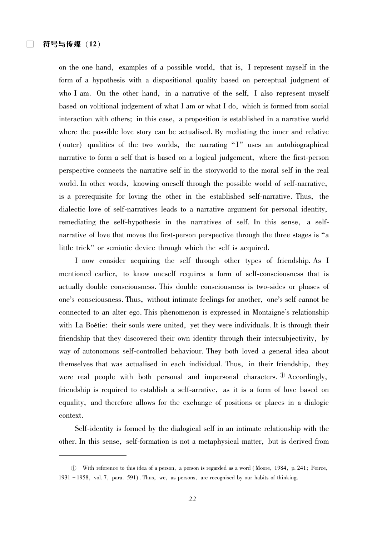on the one hand, examples of a possible world, that is, I represent myself in the form of a hypothesis with a dispositional quality based on perceptual judgment of who I am. On the other hand, in a narrative of the self, I also represent myself based on volitional judgement of what I am or what I do, which is formed from social interaction with others; in this case, a proposition is established in a narrative world where the possible love story can be actualised. By mediating the inner and relative (outer) qualities of the two worlds, the narrating "I" uses an autobiographical narrative to form a self that is based on a logical judgement, where the first-person perspective connects the narrative self in the storyworld to the moral self in the real world. In other words, knowing oneself through the possible world of self-narrative, is a prerequisite for loving the other in the established self-narrative. Thus, the dialectic love of self-narratives leads to a narrative argument for personal identity, remediating the self-hypothesis in the narratives of self. In this sense, a selfnarrative of love that moves the first-person perspective through the three stages is "a little trick" or semiotic device through which the self is acquired.

I now consider acquiring the self through other types of friendship. As I mentioned earlier, to know oneself requires a form of self-consciousness that is actually double consciousness. This double consciousness is two-sides or phases of one's consciousness. Thus, without intimate feelings for another, one's self cannot be connected to an alter ego. This phenomenon is expressed in Montaigne's relationship with La Boétie: their souls were united, yet they were individuals. It is through their friendship that they discovered their own identity through their intersubjectivity, by way of autonomous self-controlled behaviour. They both loved a general idea about themselves that was actualised in each individual. Thus, in their friendship, they were real people with both personal and impersonal characters.  $\mathbb{D}$  Accordingly, friendship is required to establish a self-arrative, as it is a form of love based on equality, and therefore allows for the exchange of positions or places in a dialogic context.

Self-identity is formed by the dialogical self in an intimate relationship with the other. In this sense, self-formation is not a metaphysical matter, but is derived from

<sup>10</sup> With reference to this idea of a person, a person is regarded as a word (Moore, 1984, p. 241; Peirce, 1931 - 1958, vol. 7, para. 591). Thus, we, as persons, are recognised by our habits of thinking.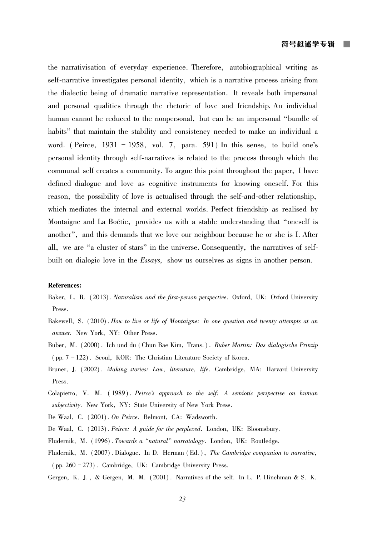the narrativisation of everyday experience. Therefore, autobiographical writing as self-narrative investigates personal identity, which is a narrative process arising from the dialectic being of dramatic narrative representation. It reveals both impersonal and personal qualities through the rhetoric of love and friendship. An individual human cannot be reduced to the nonpersonal, but can be an impersonal "bundle of habits" that maintain the stability and consistency needed to make an individual a word. (Peirce,  $1931 - 1958$ , vol. 7, para. 591) In this sense, to build one's personal identity through self-narratives is related to the process through which the communal self creates a community. To argue this point throughout the paper, I have defined dialogue and love as cognitive instruments for knowing oneself. For this reason, the possibility of love is actualised through the self-and-other relationship, which mediates the internal and external worlds. Perfect friendship as realised by Montaigne and La Boétie, provides us with a stable understanding that "oneself is another", and this demands that we love our neighbour because he or she is I. After all, we are "a cluster of stars" in the universe. Consequently, the narratives of selfbuilt on dialogic love in the *Essays*, show us ourselves as signs in another person.

#### **References:**

- Baker, L. R. (2013). Naturalism and the first-person perspective. Oxford, UK: Oxford University Press.
- Bakewell, S. (2010). How to live or life of Montaigne: In one question and twenty attempts at an answer. New York, NY: Other Press.
- Buber, M. (2000). Ich und du (Chun Bae Kim, Trans.). Buber Martin: Das dialogische Prinzip  $(pp. 7 - 122)$ . Seoul, KOR: The Christian Literature Society of Korea.
- Bruner, J. (2002). Making stories: Law, literature, life. Cambridge, MA: Harvard University Press.
- Colapietro, V. M. (1989). Peirce's approach to the self: A semiotic perspective on human subjectivity. New York, NY: State University of New York Press.
- De Waal, C. (2001). On Peirce. Belmont, CA: Wadsworth.
- De Waal, C. (2013). Peirce: A guide for the perplexed. London, UK: Bloomsbury.
- Fludernik, M. (1996). Towards a "natural" narratology. London, UK: Routledge.
- Fludernik, M. (2007). Dialogue. In D. Herman (Ed.), The Cambridge companion to narrative,  $(pp. 260 - 273)$ . Cambridge, UK: Cambridge University Press.
- Gergen, K. J., & Gergen, M. M. (2001). Narratives of the self. In L. P. Hinchman & S. K.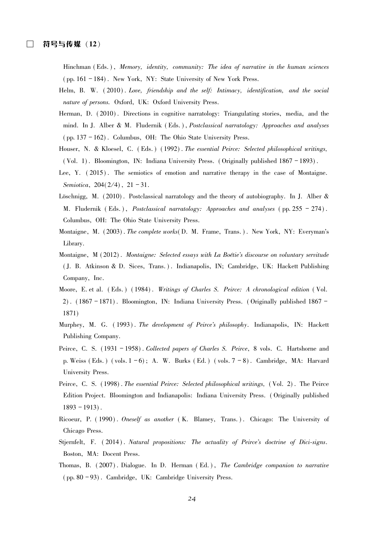Hinchman (Eds.), Memory, identity, community: The idea of narrative in the human sciences (pp. 161 - 184). New York, NY: State University of New York Press.

- Helm, B. W. (2010). Love, friendship and the self: Intimacy, identification, and the social nature of persons. Oxford, UK: Oxford University Press.
- Herman, D. (2010). Directions in cognitive narratology: Triangulating stories, media, and the mind. In J. Alber & M. Fludernik (Eds.), Postclassical narratology: Approaches and analyses (pp. 137 - 162). Columbus, OH: The Ohio State University Press.
- Houser, N. & Kloesel, C. (Eds.) (1992). The essential Peirce: Selected philosophical writings, (Vol. 1). Bloomington, IN: Indiana University Press. (Originally published  $1867 - 1893$ ).
- Lee, Y. (2015). The semiotics of emotion and narrative therapy in the case of Montaigne. Semiotica, 204(2/4), 21-31.
- Löschnigg, M. (2010). Postclassical narratology and the theory of autobiography. In J. Alber & M. Fludernik (Eds.), Postclassical narratology: Approaches and analyses (pp. 255 – 274). Columbus, OH: The Ohio State University Press.
- Montaigne, M. (2003). The complete works (D. M. Frame, Trans.). New York, NY: Everyman's Library.
- Montaigne, M (2012). Montaigne: Selected essays with La Boétie's discourse on voluntary servitude (J. B. Atkinson & D. Sices, Trans.). Indianapolis, IN; Cambridge, UK: Hackett Publishing Company, Inc.
- Moore, E. et al. (Eds.) (1984). Writings of Charles S. Peirce: A chronological edition (Vol. 2). (1867-1871). Bloomington, IN: Indiana University Press. (Originally published 1867-1871)
- Murphey, M. G. (1993). The development of Peirce's philosophy. Indianapolis, IN: Hackett Publishing Company.
- Peirce, C. S. (1931 1958). Collected papers of Charles S. Peirce, 8 vols. C. Hartshorne and p. Weiss (Eds.) (vols.  $1-6$ ); A. W. Burks (Ed.) (vols.  $7-8$ ). Cambridge, MA: Harvard University Press.
- Peirce, C. S. (1998). The essential Peirce: Selected philosophical writings, (Vol. 2). The Peirce Edition Project. Bloomington and Indianapolis: Indiana University Press. (Originally published  $1893 - 1913$ .
- Ricoeur, P. (1990). Oneself as another (K. Blamey, Trans.). Chicago: The University of Chicago Press.
- Stjernfelt, F. (2014). Natural propositions: The actuality of Peirce's doctrine of Dici-signs. Boston, MA: Docent Press.
- Thomas, B. (2007), Dialogue. In D. Herman (Ed.), The Cambridge companion to narrative (pp. 80 - 93). Cambridge, UK: Cambridge University Press.